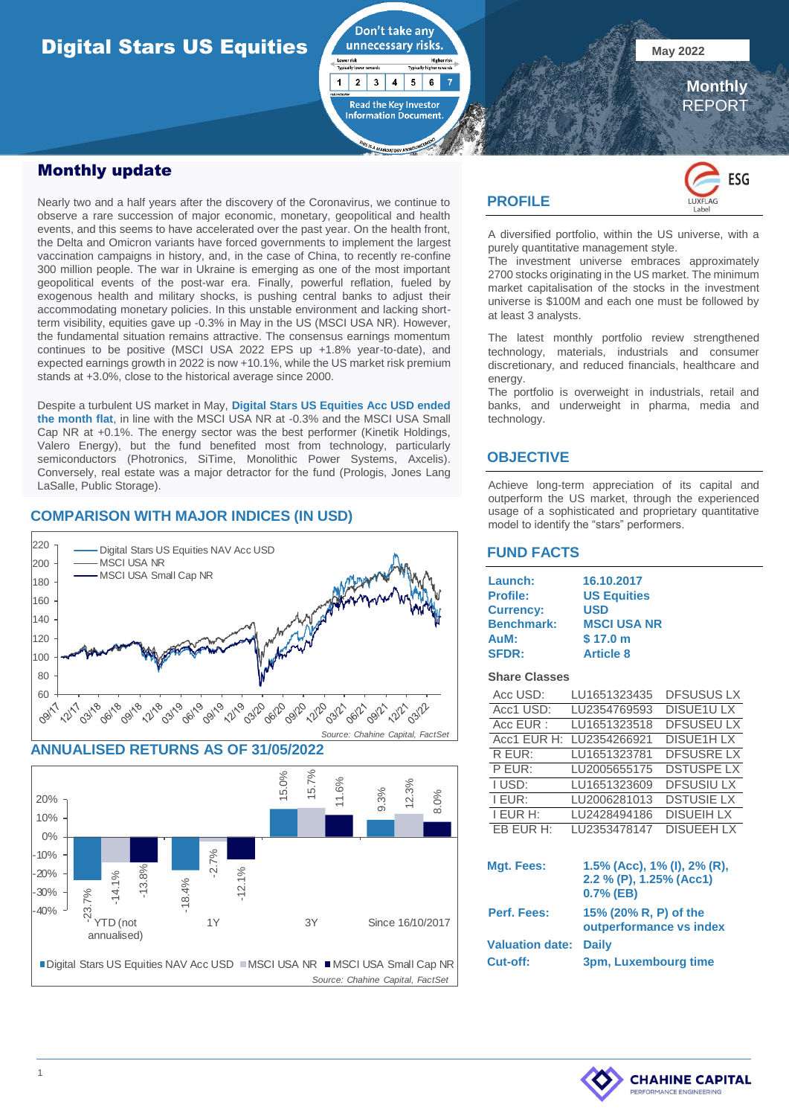# **Digital Stars US Equities All Development Control Property of Second Line Control Property Control Property Control Property Control Property Control Property Control Property Control Property Control Property Control Pro**



Nearly two and a half years after the discovery of the Coronavirus, we continue to observe a rare succession of major economic, monetary, geopolitical and health events, and this seems to have accelerated over the past year. On the health front, the Delta and Omicron variants have forced governments to implement the largest vaccination campaigns in history, and, in the case of China, to recently re-confine 300 million people. The war in Ukraine is emerging as one of the most important geopolitical events of the post-war era. Finally, powerful reflation, fueled by exogenous health and military shocks, is pushing central banks to adjust their accommodating monetary policies. In this unstable environment and lacking shortterm visibility, equities gave up -0.3% in May in the US (MSCI USA NR). However, the fundamental situation remains attractive. The consensus earnings momentum continues to be positive (MSCI USA 2022 EPS up +1.8% year-to-date), and expected earnings growth in 2022 is now +10.1%, while the US market risk premium stands at +3.0%, close to the historical average since 2000.

Despite a turbulent US market in May, **Digital Stars US Equities Acc USD ended the month flat**, in line with the MSCI USA NR at -0.3% and the MSCI USA Small Cap NR at +0.1%. The energy sector was the best performer (Kinetik Holdings, Valero Energy), but the fund benefited most from technology, particularly semiconductors (Photronics, SiTime, Monolithic Power Systems, Axcelis). Conversely, real estate was a major detractor for the fund (Prologis, Jones Lang LaSalle, Public Storage).

#### **COMPARISON WITH MAJOR INDICES (IN USD)**







#### **PROFILE**

Don't take any

Read the Key Investor<br>Information Document

 $\mathbf{1}$  $\overline{2}$  $3$  $\overline{\mathbf{4}}$  $5\phantom{.0}$  $6\phantom{.}6$ 7



 **Monthly** REPORT

A diversified portfolio, within the US universe, with a purely quantitative management style.

The investment universe embraces approximately 2700 stocks originating in the US market. The minimum market capitalisation of the stocks in the investment universe is \$100M and each one must be followed by at least 3 analysts.

The latest monthly portfolio review strengthened technology, materials, industrials and consumer discretionary, and reduced financials, healthcare and energy.

The portfolio is overweight in industrials, retail and banks, and underweight in pharma, media and technology.

#### **OBJECTIVE**

Achieve long-term appreciation of its capital and outperform the US market, through the experienced usage of a sophisticated and proprietary quantitative model to identify the "stars" performers.

#### **FUND FACTS**

| Launch:           | 16.10.2017         |
|-------------------|--------------------|
| <b>Profile:</b>   | <b>US Equities</b> |
| <b>Currency:</b>  | USD                |
| <b>Benchmark:</b> | <b>MSCI USA NR</b> |
| AuM:              | \$17.0 m           |
| <b>SFDR:</b>      | <b>Article 8</b>   |

#### **Share Classes**

| Acc USD:        | LU1651323435 | <b>DFSUSUS LX</b> |
|-----------------|--------------|-------------------|
| Acc1 USD:       | LU2354769593 | DISUE1ULX         |
| Acc EUR:        | LU1651323518 | <b>DFSUSEU LX</b> |
| Acc1 EUR H:     | LU2354266921 | <b>DISUE1HLX</b>  |
| R EUR:          | LU1651323781 | <b>DFSUSRE LX</b> |
| P EUR:          | LU2005655175 | <b>DSTUSPE LX</b> |
| <b>TUSD:</b>    | LU1651323609 | <b>DFSUSIULX</b>  |
| I EUR:          | LU2006281013 | <b>DSTUSIE LX</b> |
| <b>I EUR H:</b> | LU2428494186 | <b>DISUEIH LX</b> |
| EB EUR H:       | LU2353478147 | <b>DISUEEH LX</b> |

| Mgt. Fees:             | 1.5% (Acc), 1% (I), 2% (R),<br>2.2 % (P), 1.25% (Acc1)<br>$0.7%$ (EB) |
|------------------------|-----------------------------------------------------------------------|
| Perf. Fees:            | 15% (20% R, P) of the<br>outperformance vs index                      |
| <b>Valuation date:</b> | <b>Daily</b>                                                          |
| Cut-off:               | 3pm, Luxembourg time                                                  |

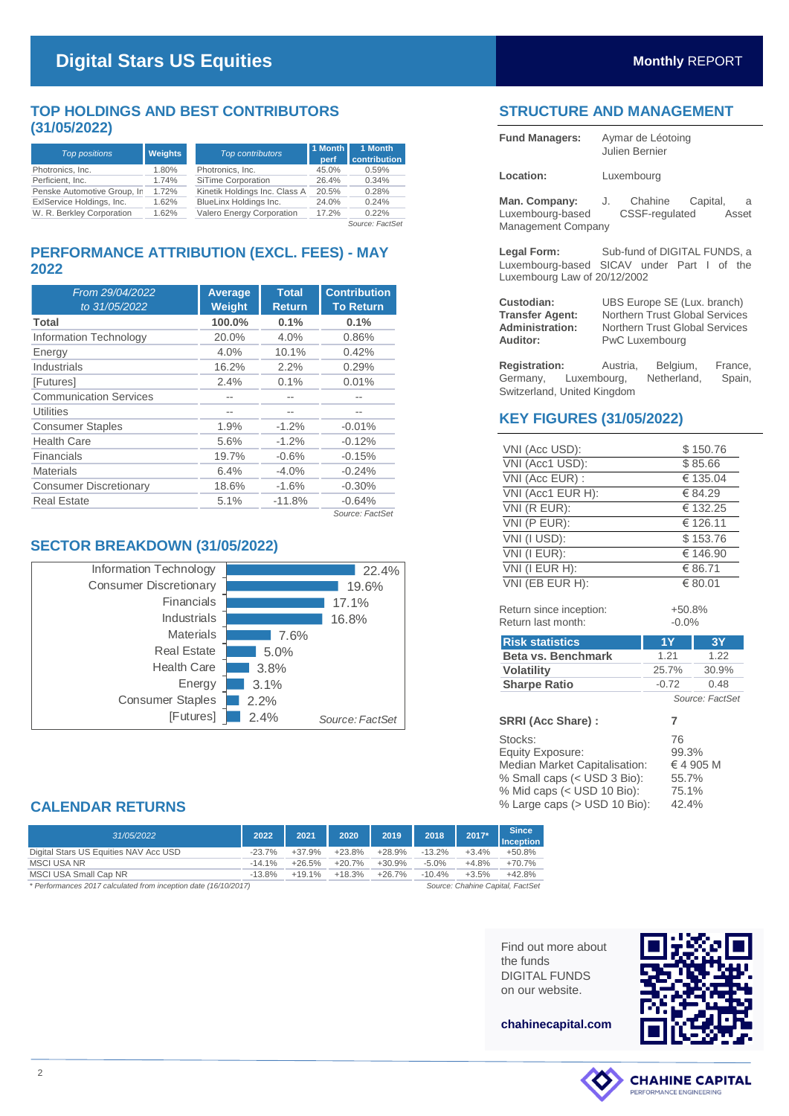### **TOP HOLDINGS AND BEST CONTRIBUTORS (31/05/2022)**

| <b>Top positions</b>        | <b>Weights</b> | 1 Month<br><b>Top contributors</b><br>perf |       | 1 Month<br>contribution |
|-----------------------------|----------------|--------------------------------------------|-------|-------------------------|
| Photronics, Inc.            | 1.80%          | Photronics, Inc.                           | 45.0% | 0.59%                   |
| Perficient, Inc.            | 1.74%          | SiTime Corporation                         | 26.4% | 0.34%                   |
| Penske Automotive Group, In | 1.72%          | Kinetik Holdings Inc. Class A              | 20.5% | 0.28%                   |
| ExIService Holdings, Inc.   | 1.62%          | BlueLinx Holdings Inc.                     | 24.0% | 0.24%                   |
| W. R. Berkley Corporation   | 1.62%          | Valero Energy Corporation                  | 17.2% | 0.22%                   |

*Source: FactSet*

#### **PERFORMANCE ATTRIBUTION (EXCL. FEES) - MAY 2022**

| From 29/04/2022<br>to 31/05/2022 | <b>Average</b><br>Weight | <b>Total</b><br><b>Return</b> | <b>Contribution</b><br><b>To Return</b> |
|----------------------------------|--------------------------|-------------------------------|-----------------------------------------|
| Total                            | 100.0%                   | 0.1%                          | 0.1%                                    |
| Information Technology           | 20.0%                    | 4.0%                          | 0.86%                                   |
| Energy                           | 4.0%                     | 10.1%                         | 0.42%                                   |
| Industrials                      | 16.2%                    | 2.2%                          | 0.29%                                   |
| [Futures]                        | 2.4%                     | 0.1%                          | 0.01%                                   |
| <b>Communication Services</b>    | --                       |                               |                                         |
| <b>Utilities</b>                 |                          |                               |                                         |
| <b>Consumer Staples</b>          | 1.9%                     | $-1.2\%$                      | $-0.01%$                                |
| <b>Health Care</b>               | 5.6%                     | $-1.2%$                       | $-0.12%$                                |
| Financials                       | 19.7%                    | $-0.6%$                       | $-0.15%$                                |
| <b>Materials</b>                 | 6.4%                     | $-4.0%$                       | $-0.24%$                                |
| <b>Consumer Discretionary</b>    | 18.6%                    | $-1.6%$                       | $-0.30%$                                |
| <b>Real Estate</b>               | 5.1%                     | $-11.8%$                      | $-0.64%$                                |
|                                  |                          |                               | Source: FactSet                         |



## **STRUCTURE AND MANAGEMENT**

| <b>Fund Managers:</b>                                                                                                  | Aymar de Léotoing<br>Julien Bernier                                                                                                    |  |  |  |
|------------------------------------------------------------------------------------------------------------------------|----------------------------------------------------------------------------------------------------------------------------------------|--|--|--|
| Location:                                                                                                              | Luxembourg                                                                                                                             |  |  |  |
| Luxembourg-based<br>Management Company                                                                                 | Man. Company: J. Chahine Capital, a<br>CSSF-regulated Asset                                                                            |  |  |  |
| Legal Form: Sub-fund of DIGITAL FUNDS, a<br>Luxembourg-based SICAV under Part I of the<br>Luxembourg Law of 20/12/2002 |                                                                                                                                        |  |  |  |
| Custodian:<br><b>Transfer Agent:</b><br><b>Administration:</b><br>Auditor:                                             | UBS Europe SE (Lux. branch)<br><b>Northern Trust Global Services</b><br><b>Northern Trust Global Services</b><br><b>PwC Luxembourg</b> |  |  |  |
|                                                                                                                        | <b>Registration:</b> Austria, Belgium, France,                                                                                         |  |  |  |

Germany, Luxembourg, Netherland, Spain, Switzerland, United Kingdom

### **KEY FIGURES (31/05/2022)**

| VNI (Acc USD):    | \$150.76 |
|-------------------|----------|
| VNI (Acc1 USD):   | \$85.66  |
| VNI (Acc EUR) :   | € 135.04 |
| VNI (Acc1 EUR H): | € 84.29  |
| VNI (R EUR):      | € 132.25 |
| VNI (P EUR):      | € 126.11 |
| VNI (I USD):      | \$153.76 |
| VNI (I EUR):      | € 146.90 |
| VNI (I EUR H):    | € 86.71  |
| VNI (EB EUR H):   | € 80.01  |
|                   |          |

Return since inception:  $+50.8\%$ <br>Return last month:  $-0.0\%$ Return last month:

| <b>Risk statistics</b>    | 1Y              | <b>3Y</b> |  |  |
|---------------------------|-----------------|-----------|--|--|
| <b>Beta vs. Benchmark</b> | 1.21            | 1.22      |  |  |
| <b>Volatility</b>         | 25.7%           | 30.9%     |  |  |
| <b>Sharpe Ratio</b>       | $-0.72$         | 0.48      |  |  |
|                           | Source: FactSet |           |  |  |

| <b>Risk statistics</b>                                                                                                                                           | 1 Y                                    | <u>3Y</u>    |
|------------------------------------------------------------------------------------------------------------------------------------------------------------------|----------------------------------------|--------------|
| Beta vs. Benchmark                                                                                                                                               | 1.21                                   | 1.22         |
| <b>Volatility</b>                                                                                                                                                | 25.7%                                  | 30.9%        |
| <b>Sharpe Ratio</b>                                                                                                                                              | $-0.72$                                | 0.48         |
|                                                                                                                                                                  |                                        | Source: Fact |
| SRRI (Acc Share):                                                                                                                                                | 7                                      |              |
| Stocks:<br><b>Equity Exposure:</b><br>Median Market Capitalisation:<br>% Small caps (< USD 3 Bio):<br>% Mid caps (< USD 10 Bio):<br>% Large caps (> USD 10 Bio): | 76<br>99.3%<br>55.7%<br>75.1%<br>42.4% | €4 905 M     |
| <b>Since</b><br><b>Inception</b><br>$+50.8%$<br>$+70.7%$<br>$+42.8%$<br>pital, FactSet                                                                           |                                        |              |
| Find out more about<br>the funds<br><b>DIGITAL FUNDS</b><br>on our website.                                                                                      |                                        |              |
| chahinecapital.com                                                                                                                                               |                                        |              |

## **CALENDAR RETURNS**

| 31/05/2022                                                      | 2022      | 2021     | 2020     | 2019     | 2018      | 2017*                           | <b>Since</b><br><b>Inception</b> |
|-----------------------------------------------------------------|-----------|----------|----------|----------|-----------|---------------------------------|----------------------------------|
| Digital Stars US Equities NAV Acc USD                           | $-23.7%$  | $+37.9%$ | $+23.8%$ | $+28.9%$ | $-13.2\%$ | $+3.4%$                         | $+50.8%$                         |
| <b>MSCI USA NR</b>                                              | $-14.1\%$ | $+26.5%$ | $+20.7%$ | $+30.9%$ | $-5.0\%$  | $+4.8%$                         | $+70.7%$                         |
| MSCI USA Small Cap NR                                           | $-13.8%$  | $+19.1%$ | $+18.3%$ | $+26.7%$ | $-10.4\%$ | $+3.5%$                         | $+42.8%$                         |
| * Perfermances 2017 calculated from incention date (16/10/2017) |           |          |          |          |           | Course: Chabina Capital EastCot |                                  |

*\* Performances 2017 calculated from inception date (16/10/2017) Source: Chahine Capital, FactSet*